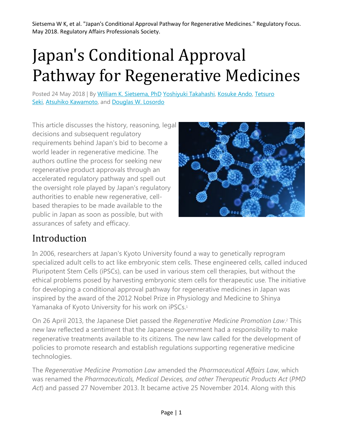# Japan's Conditional Approval Pathway for Regenerative Medicines

Posted 24 May 2018 | By [William K. Sietsema, PhD](https://www.raps.org/news-and-articles/news-articles?author=51e7904d-0f42-4c92-bdcc-e5ff4180d067) [Yoshiyuki Takahashi,](https://www.raps.org/news-and-articles/news-articles?author=515c7fbb-976c-4ba6-aad8-cb60ec45378d) [Kosuke Ando,](https://www.raps.org/news-and-articles/news-articles?author=f6fa4fde-4c11-4d4c-ab0c-f309927ce16d) Tetsuro [Seki,](https://www.raps.org/news-and-articles/news-articles?author=836c881e-563a-438f-9be8-231a1abf1b09) [Atsuhiko Kawamoto,](https://www.raps.org/news-and-articles/news-articles?author=85eb41ac-b835-4767-858c-54b0aa69f67d) and [Douglas W. Losordo](https://www.raps.org/news-and-articles/news-articles?author=90917015-703c-47f2-b53c-8eb77deada63)

This article discusses the history, reasoning, legal decisions and subsequent regulatory requirements behind Japan's bid to become a world leader in regenerative medicine. The authors outline the process for seeking new regenerative product approvals through an accelerated regulatory pathway and spell out the oversight role played by Japan's regulatory authorities to enable new regenerative, cellbased therapies to be made available to the public in Japan as soon as possible, but with assurances of safety and efficacy.



### Introduction

In 2006, researchers at Japan's Kyoto University found a way to genetically reprogram specialized adult cells to act like embryonic stem cells. These engineered cells, called induced Pluripotent Stem Cells (iPSCs), can be used in various stem cell therapies, but without the ethical problems posed by harvesting embryonic stem cells for therapeutic use. The initiative for developing a conditional approval pathway for regenerative medicines in Japan was inspired by the award of the 2012 Nobel Prize in Physiology and Medicine to Shinya Yamanaka of Kyoto University for his work on iPSCs.<sup>1</sup>

On 26 April 2013, the Japanese Diet passed the *Regenerative Medicine Promotion Law*. <sup>2</sup> This new law reflected a sentiment that the Japanese government had a responsibility to make regenerative treatments available to its citizens. The new law called for the development of policies to promote research and establish regulations supporting regenerative medicine technologies.

The *Regenerative Medicine Promotion Law* amended the *Pharmaceutical Affairs Law*, which was renamed the *Pharmaceuticals, Medical Devices, and other Therapeutic Products Act* (*PMD Act*) and passed 27 November 2013. It became active 25 November 2014. Along with this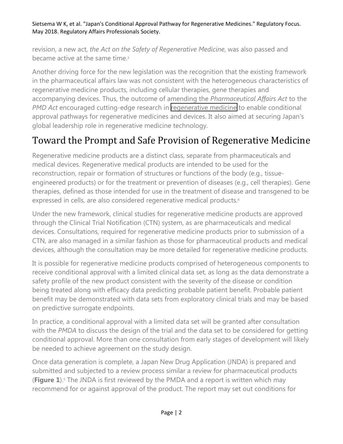revision, a new act, *the Act on the Safety of Regenerative Medicine*, was also passed and became active at the same time.3

Another driving force for the new legislation was the recognition that the existing framework in the pharmaceutical affairs law was not consistent with the heterogeneous characteristics of regenerative medicine products, including cellular therapies, gene therapies and accompanying devices. Thus, the outcome of amending the *Pharmaceutical Affairs Act* to the *PMD Act* encouraged cutting-edge research in [regenerative medicine](https://www.caladrius.com/cell-therapy-research/) to enable conditional approval pathways for regenerative medicines and devices. It also aimed at securing Japan's global leadership role in regenerative medicine technology.

## Toward the Prompt and Safe Provision of Regenerative Medicine

Regenerative medicine products are a distinct class, separate from pharmaceuticals and medical devices. Regenerative medical products are intended to be used for the reconstruction, repair or formation of structures or functions of the body (e.g., tissueengineered products) or for the treatment or prevention of diseases (e.g., cell therapies). Gene therapies, defined as those intended for use in the treatment of disease and transgened to be expressed in cells, are also considered regenerative medical products.4

Under the new framework, clinical studies for regenerative medicine products are approved through the Clinical Trial Notification (CTN) system, as are pharmaceuticals and medical devices. Consultations, required for regenerative medicine products prior to submission of a CTN, are also managed in a similar fashion as those for pharmaceutical products and medical devices, although the consultation may be more detailed for regenerative medicine products.

It is possible for regenerative medicine products comprised of heterogeneous components to receive conditional approval with a limited clinical data set, as long as the data demonstrate a safety profile of the new product consistent with the severity of the disease or condition being treated along with efficacy data predicting probable patient benefit. Probable patient benefit may be demonstrated with data sets from exploratory clinical trials and may be based on predictive surrogate endpoints.

In practice, a conditional approval with a limited data set will be granted after consultation with the *PMDA* to discuss the design of the trial and the data set to be considered for getting conditional approval. More than one consultation from early stages of development will likely be needed to achieve agreement on the study design.

Once data generation is complete, a Japan New Drug Application (JNDA) is prepared and submitted and subjected to a review process similar a review for pharmaceutical products (**Figure 1**).5 The JNDA is first reviewed by the PMDA and a report is written which may recommend for or against approval of the product. The report may set out conditions for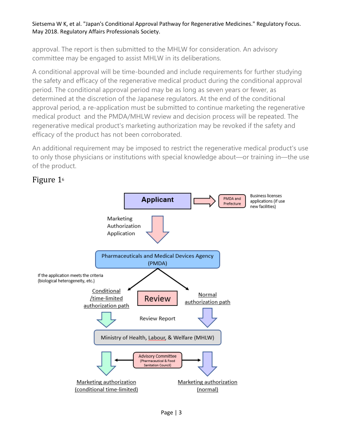approval. The report is then submitted to the MHLW for consideration. An advisory committee may be engaged to assist MHLW in its deliberations.

A conditional approval will be time-bounded and include requirements for further studying the safety and efficacy of the regenerative medical product during the conditional approval period. The conditional approval period may be as long as seven years or fewer, as determined at the discretion of the Japanese regulators. At the end of the conditional approval period, a re-application must be submitted to continue marketing the regenerative medical product and the PMDA/MHLW review and decision process will be repeated. The regenerative medical product's marketing authorization may be revoked if the safety and efficacy of the product has not been corroborated.

An additional requirement may be imposed to restrict the regenerative medical product's use to only those physicians or institutions with special knowledge about—or training in—the use of the product.



#### Figure 16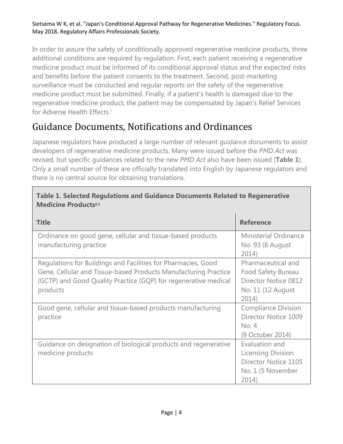In order to assure the safety of conditionally approved regenerative medicine products, three additional conditions are required by regulation. First, each patient receiving a regenerative medicine product must be informed of its conditional approval status and the expected risks and benefits before the patient consents to the treatment. Second, post-marketing surveillance must be conducted and regular reports on the safety of the regenerative medicine product must be submitted. Finally, if a patient's health is damaged due to the regenerative medicine product, the patient may be compensated by Japan's Relief Services for Adverse Health Effects.7

## Guidance Documents, Notifications and Ordinances

Japanese regulators have produced a large number of relevant guidance documents to assist developers of regenerative medicine products. Many were issued before the *PMD Act* was revised, but specific guidances related to the new *PMD Act* also have been issued (**Table 1**). Only a small number of these are officially translated into English by Japanese regulators and there is no central source for obtaining translations.

| <b>Medicine Products<sup>8,9</sup></b>                                                                                                                                                                          |                                                                                                 |  |  |
|-----------------------------------------------------------------------------------------------------------------------------------------------------------------------------------------------------------------|-------------------------------------------------------------------------------------------------|--|--|
| <b>Title</b>                                                                                                                                                                                                    | <b>Reference</b>                                                                                |  |  |
| Ordinance on good gene, cellular and tissue-based products<br>manufacturing practice                                                                                                                            | Ministerial Ordinance<br>No. 93 (6 August<br>2014)                                              |  |  |
| Regulations for Buildings and Facilities for Pharmacies, Good<br>Gene, Cellular and Tissue-based Products Manufacturing Practice<br>(GCTP) and Good Quality Practice (GQP) for regenerative medical<br>products | Pharmaceutical and<br>Food Safety Bureau<br>Director Notice 0812<br>No. 11 (12 August)<br>2014) |  |  |
| Good gene, cellular and tissue-based products manufacturing<br>practice                                                                                                                                         | <b>Compliance Division</b><br>Director Notice 1009<br>No. 4<br>(9 October 2014)                 |  |  |
| Guidance on designation of biological products and regenerative<br>medicine products                                                                                                                            | Evaluation and<br>Licensing Division<br>Director Notice 1105<br>No. 1 (5 November<br>2014)      |  |  |

## **Table 1. Selected Regulations and Guidance Documents Related to Regenerative**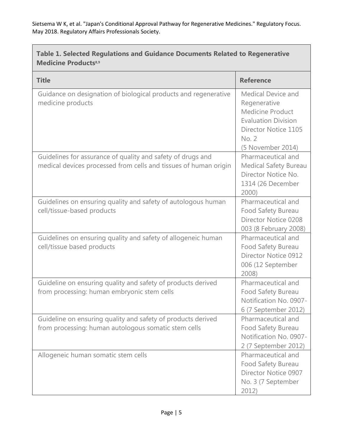$\overline{\phantom{0}}$ 

| Table 1. Selected Regulations and Guidance Documents Related to Regenerative<br><b>Medicine Products<sup>8,9</sup></b>          |                                                                                                                                                          |  |  |
|---------------------------------------------------------------------------------------------------------------------------------|----------------------------------------------------------------------------------------------------------------------------------------------------------|--|--|
| <b>Title</b>                                                                                                                    | <b>Reference</b>                                                                                                                                         |  |  |
| Guidance on designation of biological products and regenerative<br>medicine products                                            | <b>Medical Device and</b><br>Regenerative<br>Medicine Product<br><b>Evaluation Division</b><br>Director Notice 1105<br><b>No. 2</b><br>(5 November 2014) |  |  |
| Guidelines for assurance of quality and safety of drugs and<br>medical devices processed from cells and tissues of human origin | Pharmaceutical and<br><b>Medical Safety Bureau</b><br>Director Notice No.<br>1314 (26 December<br>2000)                                                  |  |  |
| Guidelines on ensuring quality and safety of autologous human<br>cell/tissue-based products                                     | Pharmaceutical and<br>Food Safety Bureau<br>Director Notice 0208<br>003 (8 February 2008)                                                                |  |  |
| Guidelines on ensuring quality and safety of allogeneic human<br>cell/tissue based products                                     | Pharmaceutical and<br>Food Safety Bureau<br>Director Notice 0912<br>006 (12 September<br>2008)                                                           |  |  |
| Guideline on ensuring quality and safety of products derived<br>from processing: human embryonic stem cells                     | Pharmaceutical and<br>Food Safety Bureau<br>Notification No. 0907-<br>6 (7 September 2012)                                                               |  |  |
| Guideline on ensuring quality and safety of products derived<br>from processing: human autologous somatic stem cells            | Pharmaceutical and<br>Food Safety Bureau<br>Notification No. 0907-<br>2 (7 September 2012)                                                               |  |  |
| Allogeneic human somatic stem cells                                                                                             | Pharmaceutical and<br>Food Safety Bureau<br>Director Notice 0907<br>No. 3 (7 September<br>2012)                                                          |  |  |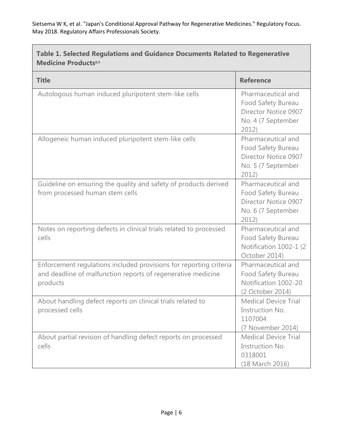| Table 1. Selected Regulations and Guidance Documents Related to Regenerative<br><b>Medicine Products<sup>8,9</sup></b>                         |                                                                                                 |  |
|------------------------------------------------------------------------------------------------------------------------------------------------|-------------------------------------------------------------------------------------------------|--|
| <b>Title</b>                                                                                                                                   | <b>Reference</b>                                                                                |  |
| Autologous human induced pluripotent stem-like cells                                                                                           | Pharmaceutical and<br>Food Safety Bureau<br>Director Notice 0907<br>No. 4 (7 September<br>2012) |  |
| Allogeneic human induced pluripotent stem-like cells                                                                                           | Pharmaceutical and<br>Food Safety Bureau<br>Director Notice 0907<br>No. 5 (7 September<br>2012) |  |
| Guideline on ensuring the quality and safety of products derived<br>from processed human stem cells                                            | Pharmaceutical and<br>Food Safety Bureau<br>Director Notice 0907<br>No. 6 (7 September<br>2012) |  |
| Notes on reporting defects in clinical trials related to processed<br>cells                                                                    | Pharmaceutical and<br>Food Safety Bureau<br>Notification 1002-1 (2<br>October 2014)             |  |
| Enforcement regulations included provisions for reporting criteria<br>and deadline of malfunction reports of regenerative medicine<br>products | Pharmaceutical and<br>Food Safety Bureau<br>Notification 1002-20<br>(2 October 2014)            |  |
| About handling defect reports on clinical trials related to<br>processed cells                                                                 | <b>Medical Device Trial</b><br>Instruction No.<br>1107004<br>(7 November 2014)                  |  |
| About partial revision of handling defect reports on processed<br>cells                                                                        | <b>Medical Device Trial</b><br>Instruction No.<br>0318001<br>(18 March 2016)                    |  |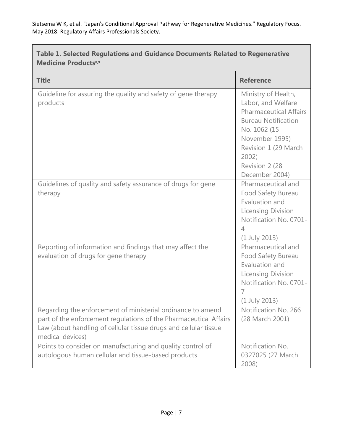| Table 1. Selected Regulations and Guidance Documents Related to Regenerative<br><b>Medicine Products<sup>8,9</sup></b>                                                                                                   |                                                                                                                                                                    |  |
|--------------------------------------------------------------------------------------------------------------------------------------------------------------------------------------------------------------------------|--------------------------------------------------------------------------------------------------------------------------------------------------------------------|--|
| <b>Title</b>                                                                                                                                                                                                             | <b>Reference</b>                                                                                                                                                   |  |
| Guideline for assuring the quality and safety of gene therapy<br>products                                                                                                                                                | Ministry of Health,<br>Labor, and Welfare<br><b>Pharmaceutical Affairs</b><br><b>Bureau Notification</b><br>No. 1062 (15<br>November 1995)<br>Revision 1 (29 March |  |
|                                                                                                                                                                                                                          | 2002)<br>Revision 2 (28)                                                                                                                                           |  |
| Guidelines of quality and safety assurance of drugs for gene<br>therapy                                                                                                                                                  | December 2004)<br>Pharmaceutical and<br>Food Safety Bureau<br>Evaluation and<br><b>Licensing Division</b><br>Notification No. 0701-<br>4<br>$(1$ July 2013)        |  |
| Reporting of information and findings that may affect the<br>evaluation of drugs for gene therapy                                                                                                                        | Pharmaceutical and<br>Food Safety Bureau<br>Evaluation and<br><b>Licensing Division</b><br>Notification No. 0701-<br>7<br>(1 July 2013)                            |  |
| Regarding the enforcement of ministerial ordinance to amend<br>part of the enforcement regulations of the Pharmaceutical Affairs<br>Law (about handling of cellular tissue drugs and cellular tissue<br>medical devices) | Notification No. 266<br>(28 March 2001)                                                                                                                            |  |
| Points to consider on manufacturing and quality control of<br>autologous human cellular and tissue-based products                                                                                                        | Notification No.<br>0327025 (27 March<br>2008)                                                                                                                     |  |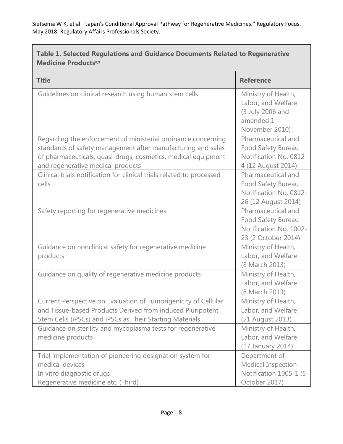| Table 1. Selected Regulations and Guidance Documents Related to Regenerative<br><b>Medicine Products<sup>8,9</sup></b>                                                                                                              |                                                                                              |  |  |
|-------------------------------------------------------------------------------------------------------------------------------------------------------------------------------------------------------------------------------------|----------------------------------------------------------------------------------------------|--|--|
| <b>Title</b>                                                                                                                                                                                                                        | <b>Reference</b>                                                                             |  |  |
| Guidelines on clinical research using human stem cells                                                                                                                                                                              | Ministry of Health,<br>Labor, and Welfare<br>(3 July 2006 and<br>amended 1<br>November 2010) |  |  |
| Regarding the enforcement of ministerial ordinance concerning<br>standards of safety management after manufacturing and sales<br>of pharmaceuticals, quasi-drugs, cosmetics, medical equipment<br>and regenerative medical products | Pharmaceutical and<br>Food Safety Bureau<br>Notification No. 0812-<br>4 (12 August 2014)     |  |  |
| Clinical trials notification for clinical trials related to processed<br>cells                                                                                                                                                      | Pharmaceutical and<br>Food Safety Bureau<br>Notification No. 0812-<br>26 (12 August 2014)    |  |  |
| Safety reporting for regenerative medicines                                                                                                                                                                                         | Pharmaceutical and<br>Food Safety Bureau<br>Notification No. 1002-<br>23 (2 October 2014)    |  |  |
| Guidance on nonclinical safety for regenerative medicine<br>products                                                                                                                                                                | Ministry of Health,<br>Labor, and Welfare<br>(8 March 2013)                                  |  |  |
| Guidance on quality of regenerative medicine products                                                                                                                                                                               | Ministry of Health,<br>Labor, and Welfare<br>(8 March 2013)                                  |  |  |
| Current Perspective on Evaluation of Tumorigenicity of Cellular<br>and Tissue-based Products Derived from induced Pluripotent<br>Stem Cells (iPSCs) and iPSCs as Their Starting Materials                                           | Ministry of Health,<br>Labor, and Welfare<br>(21 August 2013)                                |  |  |
| Guidance on sterility and mycoplasma tests for regenerative<br>medicine products                                                                                                                                                    | Ministry of Health,<br>Labor, and Welfare<br>(17 January 2014)                               |  |  |
| Trial implementation of pioneering designation system for<br>medical devices<br>In vitro diagnostic drugs<br>Regenerative medicine etc. (Third)                                                                                     | Department of<br>Medical Inspection<br>Notification 1005-1 (5<br>October 2017)               |  |  |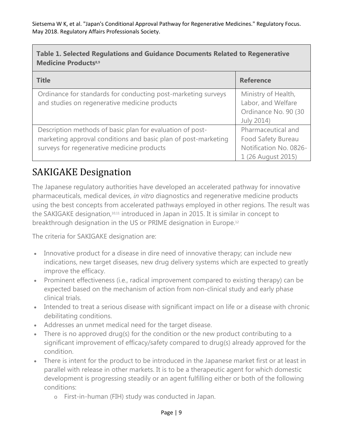| Table 1. Selected Regulations and Guidance Documents Related to Regenerative<br><b>Medicine Products8,9</b>                                                               |                                                                                          |  |  |
|---------------------------------------------------------------------------------------------------------------------------------------------------------------------------|------------------------------------------------------------------------------------------|--|--|
| <b>Title</b>                                                                                                                                                              | <b>Reference</b>                                                                         |  |  |
| Ordinance for standards for conducting post-marketing surveys<br>and studies on regenerative medicine products                                                            | Ministry of Health,<br>Labor, and Welfare<br>Ordinance No. 90 (30<br>July 2014)          |  |  |
| Description methods of basic plan for evaluation of post-<br>marketing approval conditions and basic plan of post-marketing<br>surveys for regenerative medicine products | Pharmaceutical and<br>Food Safety Bureau<br>Notification No. 0826-<br>1 (26 August 2015) |  |  |

## SAKIGAKE Designation

The Japanese regulatory authorities have developed an accelerated pathway for innovative pharmaceuticals, medical devices, *in vitro* diagnostics and regenerative medicine products using the best concepts from accelerated pathways employed in other regions. The result was the SAKIGAKE designation,<sup>10,11</sup> introduced in Japan in 2015. It is similar in concept to breakthrough designation in the US or PRIME designation in Europe.12

The criteria for SAKIGAKE designation are:

- Innovative product for a disease in dire need of innovative therapy; can include new indications, new target diseases, new drug delivery systems which are expected to greatly improve the efficacy.
- Prominent effectiveness (i.e., radical improvement compared to existing therapy) can be expected based on the mechanism of action from non-clinical study and early phase clinical trials.
- Intended to treat a serious disease with significant impact on life or a disease with chronic debilitating conditions.
- Addresses an unmet medical need for the target disease.
- There is no approved drug(s) for the condition or the new product contributing to a significant improvement of efficacy/safety compared to drug(s) already approved for the condition.
- There is intent for the product to be introduced in the Japanese market first or at least in parallel with release in other markets. It is to be a therapeutic agent for which domestic development is progressing steadily or an agent fulfilling either or both of the following conditions:
	- o First-in-human (FIH) study was conducted in Japan.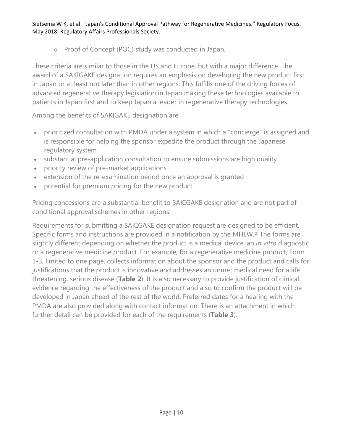o Proof of Concept (POC) study was conducted in Japan.

These criteria are similar to those in the US and Europe, but with a major difference. The award of a SAKIGAKE designation requires an emphasis on developing the new product first in Japan or at least not later than in other regions. This fulfills one of the driving forces of advanced regenerative therapy legislation in Japan making these technologies available to patients in Japan first and to keep Japan a leader in regenerative therapy technologies.

Among the benefits of SAKIGAKE designation are:

- prioritized consultation with PMDA under a system in which a "concierge" is assigned and is responsible for helping the sponsor expedite the product through the Japanese regulatory system
- substantial pre-application consultation to ensure submissions are high quality
- priority review of pre-market applications
- extension of the re-examination period once an approval is granted
- potential for premium pricing for the new product

Pricing concessions are a substantial benefit to SAKIGAKE designation and are not part of conditional approval schemes in other regions.

Requirements for submitting a SAKIGAKE designation request are designed to be efficient. Specific forms and instructions are provided in a notification by the MHLW.13 The forms are slightly different depending on whether the product is a medical device, an *in vitro* diagnostic or a regenerative medicine product. For example, for a regenerative medicine product, Form 1-3, limited to one page, collects information about the sponsor and the product and calls for justifications that the product is innovative and addresses an unmet medical need for a life threatening, serious disease (**Table 2**). It is also necessary to provide justification of clinical evidence regarding the effectiveness of the product and also to confirm the product will be developed in Japan ahead of the rest of the world. Preferred dates for a hearing with the PMDA are also provided along with contact information. There is an attachment in which further detail can be provided for each of the requirements (**Table 3**).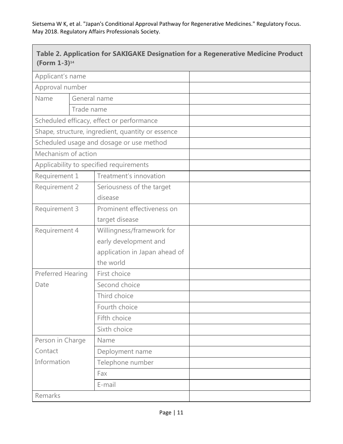| (Form 1-3) <sup>14</sup> |                                                   |                                                                                                  | Table 2. Application for SAKIGAKE Designation for a Regenerative Medicine Product |
|--------------------------|---------------------------------------------------|--------------------------------------------------------------------------------------------------|-----------------------------------------------------------------------------------|
|                          | Applicant's name                                  |                                                                                                  |                                                                                   |
| Approval number          |                                                   |                                                                                                  |                                                                                   |
| Name<br>General name     |                                                   |                                                                                                  |                                                                                   |
|                          | Trade name                                        |                                                                                                  |                                                                                   |
|                          | Scheduled efficacy, effect or performance         |                                                                                                  |                                                                                   |
|                          | Shape, structure, ingredient, quantity or essence |                                                                                                  |                                                                                   |
|                          |                                                   | Scheduled usage and dosage or use method                                                         |                                                                                   |
| Mechanism of action      |                                                   |                                                                                                  |                                                                                   |
|                          |                                                   | Applicability to specified requirements                                                          |                                                                                   |
| Requirement 1            |                                                   | Treatment's innovation                                                                           |                                                                                   |
| Requirement 2            |                                                   | Seriousness of the target<br>disease                                                             |                                                                                   |
| Requirement 3            |                                                   | Prominent effectiveness on<br>target disease                                                     |                                                                                   |
| Requirement 4            |                                                   | Willingness/framework for<br>early development and<br>application in Japan ahead of<br>the world |                                                                                   |
| Preferred Hearing        |                                                   | First choice                                                                                     |                                                                                   |
| Date                     |                                                   | Second choice                                                                                    |                                                                                   |
|                          |                                                   | Third choice                                                                                     |                                                                                   |
|                          |                                                   | Fourth choice                                                                                    |                                                                                   |
|                          |                                                   | Fifth choice                                                                                     |                                                                                   |
|                          |                                                   | Sixth choice                                                                                     |                                                                                   |
| Person in Charge         |                                                   | Name                                                                                             |                                                                                   |
| Contact                  |                                                   | Deployment name                                                                                  |                                                                                   |
| Information              |                                                   | Telephone number                                                                                 |                                                                                   |
|                          |                                                   | Fax                                                                                              |                                                                                   |
|                          |                                                   | E-mail                                                                                           |                                                                                   |
| Remarks                  |                                                   |                                                                                                  |                                                                                   |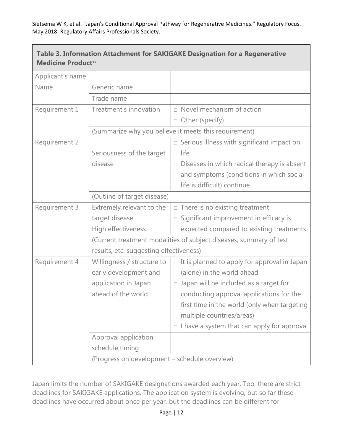$\mathbf{L}$ 

| <b>Medicine Product15</b> |                                                                                                               | Table 3. Information Attachment for SAKIGAKE Designation for a Regenerative |  |
|---------------------------|---------------------------------------------------------------------------------------------------------------|-----------------------------------------------------------------------------|--|
| Applicant's name          |                                                                                                               |                                                                             |  |
| Name                      | Generic name                                                                                                  |                                                                             |  |
|                           | Trade name                                                                                                    |                                                                             |  |
| Requirement 1             | Treatment's innovation                                                                                        | $\Box$ Novel mechanism of action                                            |  |
|                           |                                                                                                               | □ Other (specify)                                                           |  |
|                           | (Summarize why you believe it meets this requirement)                                                         |                                                                             |  |
| Requirement 2             |                                                                                                               | $\Box$ Serious illness with significant impact on                           |  |
|                           | Seriousness of the target                                                                                     | life                                                                        |  |
|                           | disease                                                                                                       | $\Box$ Diseases in which radical therapy is absent                          |  |
|                           |                                                                                                               | and symptoms (conditions in which social                                    |  |
|                           |                                                                                                               | life is difficult) continue                                                 |  |
|                           |                                                                                                               |                                                                             |  |
| Requirement 3             | Extremely relevant to the                                                                                     | $\Box$ There is no existing treatment                                       |  |
|                           | target disease                                                                                                | $\square$ Significant improvement in efficacy is                            |  |
|                           | High effectiveness                                                                                            | expected compared to existing treatments                                    |  |
|                           | (Current treatment modalities of subject diseases, summary of test<br>results, etc. suggesting effectiveness) |                                                                             |  |
|                           |                                                                                                               |                                                                             |  |
| Requirement 4             | Willingness / structure to                                                                                    | $\Box$ It is planned to apply for approval in Japan                         |  |
|                           | early development and                                                                                         | (alone) in the world ahead                                                  |  |
|                           | application in Japan                                                                                          | $\Box$ Japan will be included as a target for                               |  |
|                           | ahead of the world                                                                                            | conducting approval applications for the                                    |  |
|                           |                                                                                                               | first time in the world (only when targeting                                |  |
|                           |                                                                                                               | multiple countries/areas)                                                   |  |
|                           |                                                                                                               | $\Box$ I have a system that can apply for approval                          |  |
|                           | Approval application                                                                                          |                                                                             |  |
|                           | schedule timing                                                                                               |                                                                             |  |
|                           | (Progress on development - schedule overview)                                                                 |                                                                             |  |

Japan limits the number of SAKIGAKE designations awarded each year. Too, there are strict deadlines for SAKIGAKE applications. The application system is evolving, but so far these deadlines have occurred about once per year, but the deadlines can be different for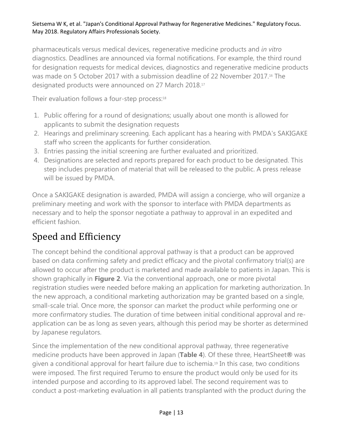pharmaceuticals versus medical devices, regenerative medicine products and *in vitro* diagnostics. Deadlines are announced via formal notifications. For example, the third round for designation requests for medical devices, diagnostics and regenerative medicine products was made on 5 October 2017 with a submission deadline of 22 November 2017.<sup>16</sup> The designated products were announced on 27 March 2018.17

Their evaluation follows a four-step process:<sup>18</sup>

- 1. Public offering for a round of designations; usually about one month is allowed for applicants to submit the designation requests
- 2. Hearings and preliminary screening. Each applicant has a hearing with PMDA's SAKIGAKE staff who screen the applicants for further consideration.
- 3. Entries passing the initial screening are further evaluated and prioritized.
- 4. Designations are selected and reports prepared for each product to be designated. This step includes preparation of material that will be released to the public. A press release will be issued by PMDA.

Once a SAKIGAKE designation is awarded, PMDA will assign a concierge, who will organize a preliminary meeting and work with the sponsor to interface with PMDA departments as necessary and to help the sponsor negotiate a pathway to approval in an expedited and efficient fashion.

## Speed and Efficiency

The concept behind the conditional approval pathway is that a product can be approved based on data confirming safety and predict efficacy and the pivotal confirmatory trial(s) are allowed to occur after the product is marketed and made available to patients in Japan. This is shown graphically in **Figure 2**. Via the conventional approach, one or more pivotal registration studies were needed before making an application for marketing authorization. In the new approach, a conditional marketing authorization may be granted based on a single, small-scale trial. Once more, the sponsor can market the product while performing one or more confirmatory studies. The duration of time between initial conditional approval and reapplication can be as long as seven years, although this period may be shorter as determined by Japanese regulators.

Since the implementation of the new conditional approval pathway, three regenerative medicine products have been approved in Japan (**Table 4**). Of these three, HeartSheet**®** was given a conditional approval for heart failure due to ischemia.19 In this case, two conditions were imposed. The first required Terumo to ensure the product would only be used for its intended purpose and according to its approved label. The second requirement was to conduct a post-marketing evaluation in all patients transplanted with the product during the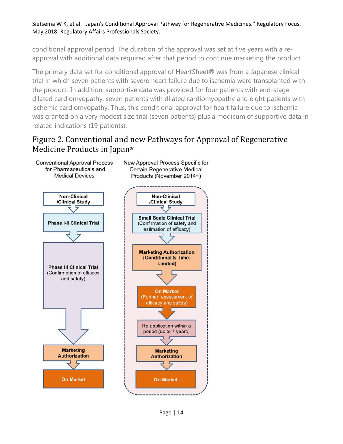conditional approval period. The duration of the approval was set at five years with a reapproval with additional data required after that period to continue marketing the product.

The primary data set for conditional approval of HeartSheet**®** was from a Japanese clinical trial in which seven patients with severe heart failure due to ischemia were transplanted with the product. In addition, supportive data was provided for four patients with end-stage dilated cardiomyopathy, seven patients with dilated cardiomyopathy and eight patients with ischemic cardiomyopathy. Thus, this conditional approval for heart failure due to ischemia was granted on a very modest size trial (seven patients) plus a modicum of supportive data in related indications (19 patients).

#### Figure 2. Conventional and new Pathways for Approval of Regenerative Medicine Products in Japan<sup>20</sup>

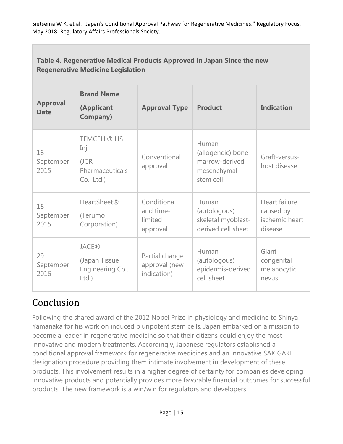| Table 4. Regenerative Medical Products Approved in Japan Since the new<br><b>Regenerative Medicine Legislation</b> |                                                                      |                                                 |                                                                          |                                                         |
|--------------------------------------------------------------------------------------------------------------------|----------------------------------------------------------------------|-------------------------------------------------|--------------------------------------------------------------------------|---------------------------------------------------------|
| <b>Approval</b><br><b>Date</b>                                                                                     | <b>Brand Name</b><br>(Applicant<br><b>Company)</b>                   | <b>Approval Type</b>                            | <b>Product</b>                                                           | <b>Indication</b>                                       |
| 18<br>September<br>2015                                                                                            | <b>TEMCELL® HS</b><br>Inj.<br>(JCR)<br>Pharmaceuticals<br>Co., Ltd.) | Conventional<br>approval                        | Human<br>(allogeneic) bone<br>marrow-derived<br>mesenchymal<br>stem cell | Graft-versus-<br>host disease                           |
| 18<br>September<br>2015                                                                                            | <b>HeartSheet®</b><br>(Terumo<br>Corporation)                        | Conditional<br>and time-<br>limited<br>approval | Human<br>(autologous)<br>skeletal myoblast-<br>derived cell sheet        | Heart failure<br>caused by<br>ischemic heart<br>disease |
| 29<br>September<br>2016                                                                                            | <b>JACE®</b><br>(Japan Tissue<br>Engineering Co.,<br>Ltd.            | Partial change<br>approval (new<br>indication)  | Human<br>(autologous)<br>epidermis-derived<br>cell sheet                 | Giant<br>congenital<br>melanocytic<br>nevus             |

## Conclusion

Following the shared award of the 2012 Nobel Prize in physiology and medicine to Shinya Yamanaka for his work on induced pluripotent stem cells, Japan embarked on a mission to become a leader in regenerative medicine so that their citizens could enjoy the most innovative and modern treatments. Accordingly, Japanese regulators established a conditional approval framework for regenerative medicines and an innovative SAKIGAKE designation procedure providing them intimate involvement in development of these products. This involvement results in a higher degree of certainty for companies developing innovative products and potentially provides more favorable financial outcomes for successful products. The new framework is a win/win for regulators and developers.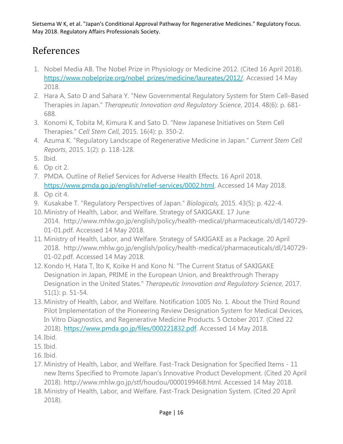## References

- 1. Nobel Media AB. The Nobel Prize in Physiology or Medicine 2012. (Cited 16 April 2018). [https://www.nobelprize.org/nobel\\_prizes/medicine/laureates/2012/.](https://www.nobelprize.org/nobel_prizes/medicine/laureates/2012/) Accessed 14 May 2018.
- 2. Hara A, Sato D and Sahara Y. "New Governmental Regulatory System for Stem Cell–Based Therapies in Japan." *Therapeutic Innovation and Regulatory Science*, 2014. 48(6): p. 681- 688.
- 3. Konomi K, Tobita M, Kimura K and Sato D. "New Japanese Initiatives on Stem Cell Therapies." *Cell Stem Cell*, 2015. 16(4): p. 350-2.
- 4. Azuma K. "Regulatory Landscape of Regenerative Medicine in Japan." *Current Stem Cell Reports*, 2015. 1(2): p. 118-128.
- 5. Ibid.
- 6. Op cit 2.
- 7. PMDA. Outline of Relief Services for Adverse Health Effects. 16 April 2018. [https://www.pmda.go.jp/english/relief-services/0002.html.](https://www.pmda.go.jp/english/relief-services/0002.html) Accessed 14 May 2018.
- 8. Op cit 4.
- 9. Kusakabe T. "Regulatory Perspectives of Japan." *Biologicals,* 2015. 43(5): p. 422-4.
- 10. Ministry of Health, Labor, and Welfare. Strategy of SAKIGAKE. 17 June 2014. http://www.mhlw.go.jp/english/policy/health-medical/pharmaceuticals/dl/140729- 01-01.pdf. Accessed 14 May 2018.
- 11. Ministry of Health, Labor, and Welfare. Strategy of SAKIGAKE as a Package. 20 April 2018. http://www.mhlw.go.jp/english/policy/health-medical/pharmaceuticals/dl/140729- 01-02.pdf. Accessed 14 May 2018.
- 12. Kondo H, Hata T, Ito K, Koike H and Kono N. "The Current Status of SAKIGAKE Designation in Japan, PRIME in the European Union, and Breakthrough Therapy Designation in the United States." *Therapeutic Innovation and Regulatory Science*, 2017. 51(1): p. 51-54.
- 13. Ministry of Health, Labor, and Welfare. Notification 1005 No. 1. About the Third Round Pilot Implementation of the Pioneering Review Designation System for Medical Devices, In Vitro Diagnostics, and Regenerative Medicine Products. 5 October 2017. (Cited 22 2018). [https://www.pmda.go.jp/files/000221832.pdf.](https://www.pmda.go.jp/files/000221832.pdf) Accessed 14 May 2018.
- 14. Ibid.
- 15. Ibid.
- 16. Ibid.
- 17. Ministry of Health, Labor, and Welfare. Fast-Track Designation for Specified Items 11 new Items Specified to Promote Japan's Innovative Product Development. (Cited 20 April 2018). http://www.mhlw.go.jp/stf/houdou/0000199468.html. Accessed 14 May 2018.
- 18. Ministry of Health, Labor, and Welfare. Fast-Track Designation System. (Cited 20 April 2018).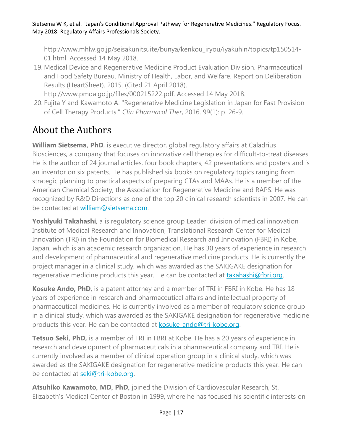http://www.mhlw.go.jp/seisakunitsuite/bunya/kenkou\_iryou/iyakuhin/topics/tp150514- 01.html. Accessed 14 May 2018.

19. Medical Device and Regenerative Medicine Product Evaluation Division. Pharmaceutical and Food Safety Bureau. Ministry of Health, Labor, and Welfare. Report on Deliberation Results (HeartSheet). 2015. (Cited 21 April 2018).

http://www.pmda.go.jp/files/000215222.pdf. Accessed 14 May 2018.

20. Fujita Y and Kawamoto A. "Regenerative Medicine Legislation in Japan for Fast Provision of Cell Therapy Products." *Clin Pharmacol Ther*, 2016. 99(1): p. 26-9.

## About the Authors

**William Sietsema, PhD**, is executive director, global regulatory affairs at Caladrius Biosciences, a company that focuses on innovative cell therapies for difficult-to-treat diseases. He is the author of 24 journal articles, four book chapters, 42 presentations and posters and is an inventor on six patents. He has published six books on regulatory topics ranging from strategic planning to practical aspects of preparing CTAs and MAAs. He is a member of the American Chemical Society, the Association for Regenerative Medicine and RAPS. He was recognized by R&D Directions as one of the top 20 clinical research scientists in 2007. He can be contacted at [william@sietsema.com.](mailto:william@sietsema.com)

**Yoshiyuki Takahashi**, a is regulatory science group Leader, division of medical innovation, Institute of Medical Research and Innovation, Translational Research Center for Medical Innovation (TRI) in the Foundation for Biomedical Research and Innovation (FBRI) in Kobe, Japan, which is an academic research organization. He has 30 years of experience in research and development of pharmaceutical and regenerative medicine products. He is currently the project manager in a clinical study, which was awarded as the SAKIGAKE designation for regenerative medicine products this year. He can be contacted at [takahashi@fbri.org.](mailto:takahashi@fbri.org)

**Kosuke Ando, PhD**, is a patent attorney and a member of TRI in FBRI in Kobe. He has 18 years of experience in research and pharmaceutical affairs and intellectual property of pharmaceutical medicines. He is currently involved as a member of regulatory science group in a clinical study, which was awarded as the SAKIGAKE designation for regenerative medicine products this year. He can be contacted at **kosuke-ando@tri-kobe.org.** 

**Tetsuo Seki, PhD,** is a member of TRI in FBRI at Kobe. He has a 20 years of experience in research and development of pharmaceuticals in a pharmaceutical company and TRI. He is currently involved as a member of clinical operation group in a clinical study, which was awarded as the SAKIGAKE designation for regenerative medicine products this year. He can be contacted at [seki@tri-kobe.org.](mailto:seki@tri-kobe.org)

**Atsuhiko Kawamoto, MD, PhD,** joined the Division of Cardiovascular Research, St. Elizabeth's Medical Center of Boston in 1999, where he has focused his scientific interests on